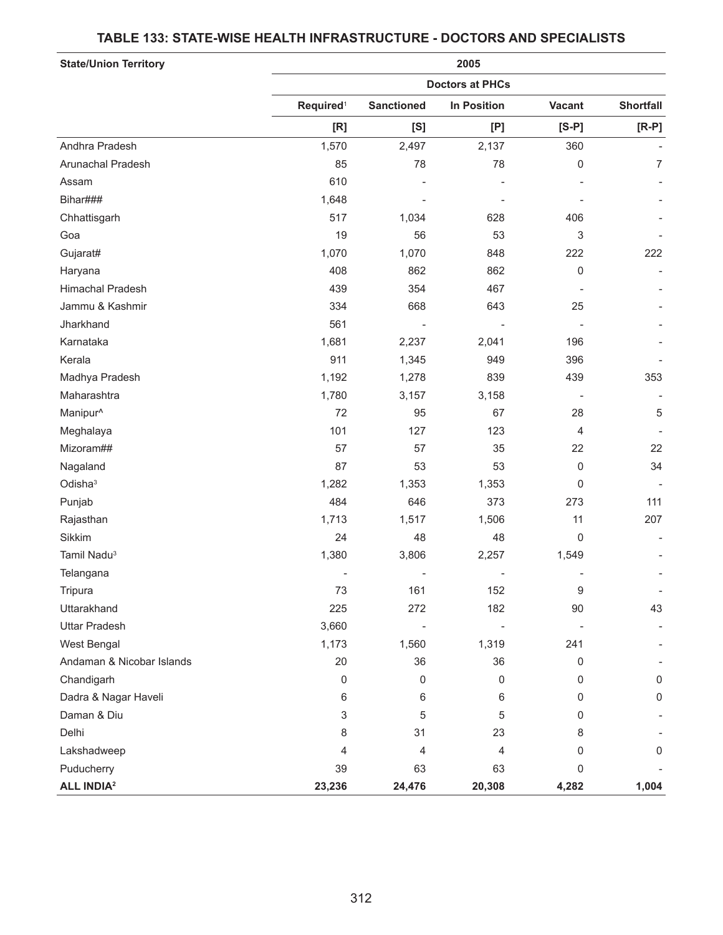# **State/Union Territory 2005 Doctors at PHCs Required**<sup>1</sup> **Sanctioned In Position Vacant Shortfall [R] [S] [P] [S-P] [R-P]** Andhra Pradesh 1,570 2,497 2,137 360 Arunachal Pradesh 85 78 78 0 7 Assam 610 - - - - Bihar### 1,648 - - - - Chhattisgarh 517 1,034 628 406 - سای این میں 19 56 53 میں 19 56 53 میں بلکہ اور میں ایک میں ایک میں ایک میں ایک میں ایک میں ایک میں ایک میں ایک<br>ایک میں ایک میں ایک میں ایک میں ایک میں ایک میں ایک میں ایک میں ایک میں ایک میں ایک میں ایک میں ایک میں ایک می Gujarat# 1,070 1,070 848 222 222 Haryana 408 862 862 0 - Himachal Pradesh 439 354 467 - - Jammu & Kashmir 334 668 643 25 - Jharkhand 561 - - - - Karnataka 1,681 2,237 2,041 196 - Kerala 911 1,345 949 396 - Madhya Pradesh 1,192 1,278 839 439 353 Maharashtra 1,780 3,157 3,158 - - Manipur^ 72 95 67 28 5 Meghalaya 101 127 123 4 - Mizoram## 57 57 35 22 22 Nagaland 87 53 53 0 34 Odisha3 1,282 1,353 1,353 0 - Punjab 484 646 373 273 111 Rajasthan 1,517 1,517 1,506 11 207 Sikkim 24 48 48 0 - Tamil Nadu3 1,380 3,806 2,257 1,549 - Telangana - - - - - - 161 152 9 - 73 161 152 9 - 73 161 152 9 - 73 161 152 9 - 74 162 152 162 162 16 Uttarakhand 225 272 182 90 43 Uttar Pradesh 3,660 - - - - West Bengal 1,173 1,560 1,319 241 - Andaman & Nicobar Islands 1992 10 10 20 36 36 36 0 36 Chandigarh 0 0 0 0 0 Dadra & Nagar Haveli 6 6 6 0 0 Daman & Diu 3 5 5 0 - Delhi 8 31 23 8 - Lakshadweep 4 4 4 0 0 Puducherry 39 63 63 0 - **ALL INDIA2 23,236 24,476 20,308 4,282 1,004**

### **TABLE 133: STATE-WISE HEALTH INFRASTRUCTURE - DOCTORS AND SPECIALISTS**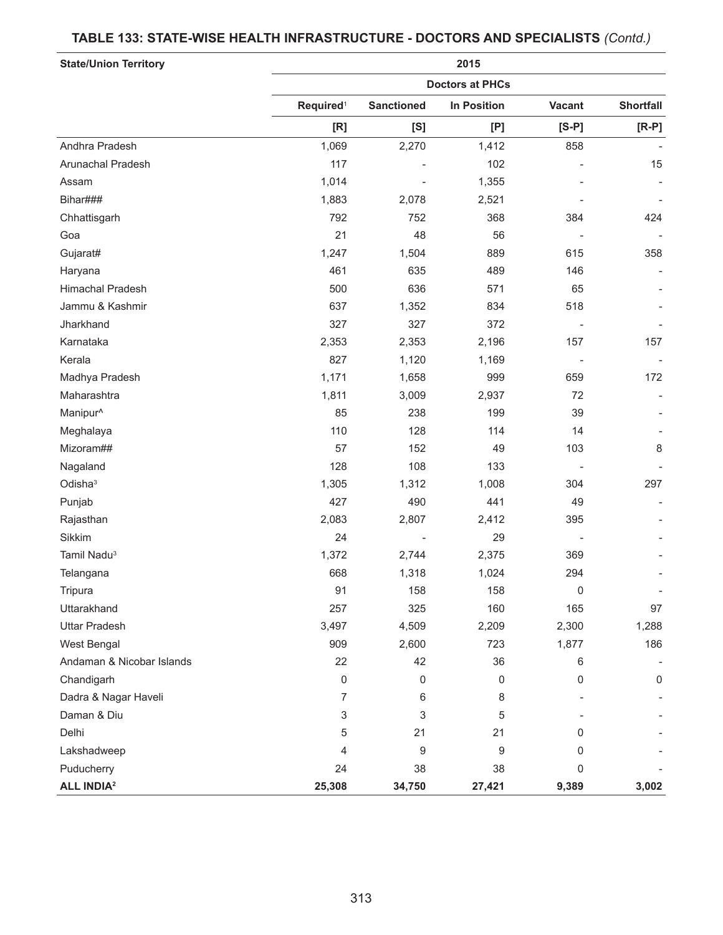### **TABLE 133: STATE-WISE HEALTH INFRASTRUCTURE - DOCTORS AND SPECIALISTS** *(Contd.)*

| <b>State/Union Territory</b> | 2015<br><b>Doctors at PHCs</b> |                          |        |             |       |    |
|------------------------------|--------------------------------|--------------------------|--------|-------------|-------|----|
|                              |                                |                          |        |             |       |    |
|                              | Andhra Pradesh                 | 1,069                    | 2,270  | 1,412       | 858   |    |
|                              | Arunachal Pradesh              | 117                      |        | 102         |       | 15 |
| Assam                        | 1,014                          |                          | 1,355  |             |       |    |
| Bihar###                     | 1,883                          | 2,078                    | 2,521  |             |       |    |
| Chhattisgarh                 | 792                            | 752                      | 368    | 384         | 424   |    |
| Goa                          | 21                             | 48                       | 56     |             |       |    |
| Gujarat#                     | 1,247                          | 1,504                    | 889    | 615         | 358   |    |
| Haryana                      | 461                            | 635                      | 489    | 146         |       |    |
| Himachal Pradesh             | 500                            | 636                      | 571    | 65          |       |    |
| Jammu & Kashmir              | 637                            | 1,352                    | 834    | 518         |       |    |
| Jharkhand                    | 327                            | 327                      | 372    |             |       |    |
| Karnataka                    | 2,353                          | 2,353                    | 2,196  | 157         | 157   |    |
| Kerala                       | 827                            | 1,120                    | 1,169  |             |       |    |
| Madhya Pradesh               | 1,171                          | 1,658                    | 999    | 659         | 172   |    |
| Maharashtra                  | 1,811                          | 3,009                    | 2,937  | 72          |       |    |
| Manipur <sup>^</sup>         | 85                             | 238                      | 199    | 39          |       |    |
| Meghalaya                    | 110                            | 128                      | 114    | 14          |       |    |
| Mizoram##                    | 57                             | 152                      | 49     | 103         | 8     |    |
| Nagaland                     | 128                            | 108                      | 133    |             |       |    |
| Odisha <sup>3</sup>          | 1,305                          | 1,312                    | 1,008  | 304         | 297   |    |
| Punjab                       | 427                            | 490                      | 441    | 49          |       |    |
| Rajasthan                    | 2,083                          | 2,807                    | 2,412  | 395         |       |    |
| Sikkim                       | 24                             | $\overline{\phantom{a}}$ | 29     |             |       |    |
| Tamil Nadu <sup>3</sup>      | 1,372                          | 2,744                    | 2,375  | 369         |       |    |
| Telangana                    | 668                            | 1,318                    | 1,024  | 294         |       |    |
| Tripura                      | 91                             | 158                      | 158    | 0           |       |    |
| Uttarakhand                  | 257                            | 325                      | 160    | 165         | 97    |    |
| <b>Uttar Pradesh</b>         | 3,497                          | 4,509                    | 2,209  | 2,300       | 1,288 |    |
| West Bengal                  | 909                            | 2,600                    | 723    | 1,877       | 186   |    |
| Andaman & Nicobar Islands    | 22                             | 42                       | 36     | 6           |       |    |
| Chandigarh                   | $\mathbf 0$                    | 0                        | 0      | $\mathbf 0$ | 0     |    |
| Dadra & Nagar Haveli         | 7                              | 6                        | 8      |             |       |    |
| Daman & Diu                  | 3                              | 3                        | 5      |             |       |    |
| Delhi                        | 5                              | 21                       | 21     | 0           |       |    |
| Lakshadweep                  | 4                              | 9                        | 9      | 0           |       |    |
| Puducherry                   | 24                             | 38                       | 38     | 0           |       |    |
| <b>ALL INDIA<sup>2</sup></b> | 25,308                         | 34,750                   | 27,421 | 9,389       | 3,002 |    |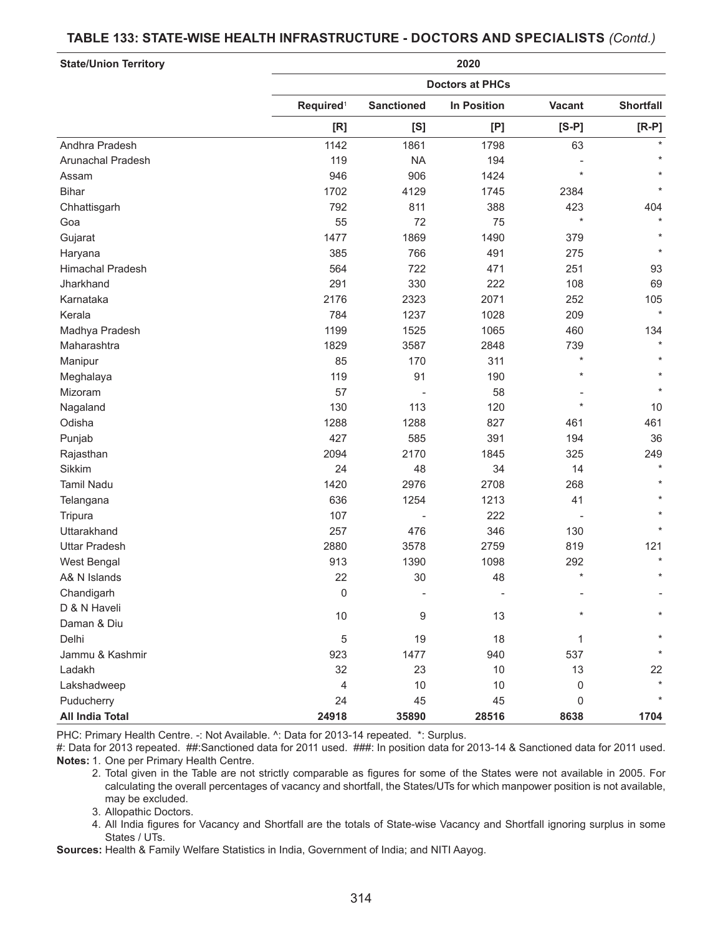#### **TABLE 133: STATE-WISE HEALTH INFRASTRUCTURE - DOCTORS AND SPECIALISTS** *(Contd.)*

| <b>State/Union Territory</b> | 2020<br><b>Doctors at PHCs</b> |           |       |         |         |  |
|------------------------------|--------------------------------|-----------|-------|---------|---------|--|
|                              |                                |           |       |         |         |  |
|                              | [R]                            | [S]       | [P]   | $[S-P]$ | $[R-P]$ |  |
|                              | Andhra Pradesh                 | 1142      | 1861  | 1798    | 63      |  |
| Arunachal Pradesh            | 119                            | <b>NA</b> | 194   |         |         |  |
| Assam                        | 946                            | 906       | 1424  | $\star$ |         |  |
| <b>Bihar</b>                 | 1702                           | 4129      | 1745  | 2384    |         |  |
| Chhattisgarh                 | 792                            | 811       | 388   | 423     | 404     |  |
| Goa                          | 55                             | 72        | 75    | $\star$ |         |  |
| Gujarat                      | 1477                           | 1869      | 1490  | 379     |         |  |
| Haryana                      | 385                            | 766       | 491   | 275     |         |  |
| <b>Himachal Pradesh</b>      | 564                            | 722       | 471   | 251     | 93      |  |
| Jharkhand                    | 291                            | 330       | 222   | 108     | 69      |  |
| Karnataka                    | 2176                           | 2323      | 2071  | 252     | 105     |  |
| Kerala                       | 784                            | 1237      | 1028  | 209     | $\star$ |  |
| Madhya Pradesh               | 1199                           | 1525      | 1065  | 460     | 134     |  |
| Maharashtra                  | 1829                           | 3587      | 2848  | 739     | $\star$ |  |
| Manipur                      | 85                             | 170       | 311   | $\star$ |         |  |
| Meghalaya                    | 119                            | 91        | 190   | $\star$ |         |  |
| Mizoram                      | 57                             |           | 58    |         |         |  |
| Nagaland                     | 130                            | 113       | 120   | $\star$ | 10      |  |
| Odisha                       | 1288                           | 1288      | 827   | 461     | 461     |  |
| Punjab                       | 427                            | 585       | 391   | 194     | 36      |  |
| Rajasthan                    | 2094                           | 2170      | 1845  | 325     | 249     |  |
| Sikkim                       | 24                             | 48        | 34    | 14      | $\star$ |  |
| <b>Tamil Nadu</b>            | 1420                           | 2976      | 2708  | 268     | $\star$ |  |
| Telangana                    | 636                            | 1254      | 1213  | 41      |         |  |
| Tripura                      | 107                            |           | 222   |         |         |  |
| Uttarakhand                  | 257                            | 476       | 346   | 130     |         |  |
| <b>Uttar Pradesh</b>         | 2880                           | 3578      | 2759  | 819     | 121     |  |
| West Bengal                  | 913                            | 1390      | 1098  | 292     |         |  |
| A& N Islands                 | 22                             | 30        | 48    | $\star$ | $\star$ |  |
| Chandigarh                   | 0                              |           |       |         |         |  |
| D & N Haveli                 |                                |           |       |         |         |  |
| Daman & Diu                  | $10$                           | 9         | 13    |         |         |  |
| Delhi                        | 5                              | 19        | 18    | 1       |         |  |
| Jammu & Kashmir              | 923                            | 1477      | 940   | 537     |         |  |
| Ladakh                       | 32                             | 23        | 10    | 13      | 22      |  |
| Lakshadweep                  | 4                              | 10        | 10    | 0       | $\star$ |  |
| Puducherry                   | 24                             | 45        | 45    | 0       |         |  |
| <b>All India Total</b>       | 24918                          | 35890     | 28516 | 8638    | 1704    |  |

PHC: Primary Health Centre. -: Not Available. ^: Data for 2013-14 repeated. \*: Surplus.

#: Data for 2013 repeated. ##:Sanctioned data for 2011 used. ###: In position data for 2013-14 & Sanctioned data for 2011 used. **Notes:** 1. One per Primary Health Centre.

2. Total given in the Table are not strictly comparable as figures for some of the States were not available in 2005. For calculating the overall percentages of vacancy and shortfall, the States/UTs for which manpower position is not available, may be excluded.

3. Allopathic Doctors.

4. All India figures for Vacancy and Shortfall are the totals of State-wise Vacancy and Shortfall ignoring surplus in some States / UTs.

**Sources:** Health & Family Welfare Statistics in India, Government of India; and NITI Aayog.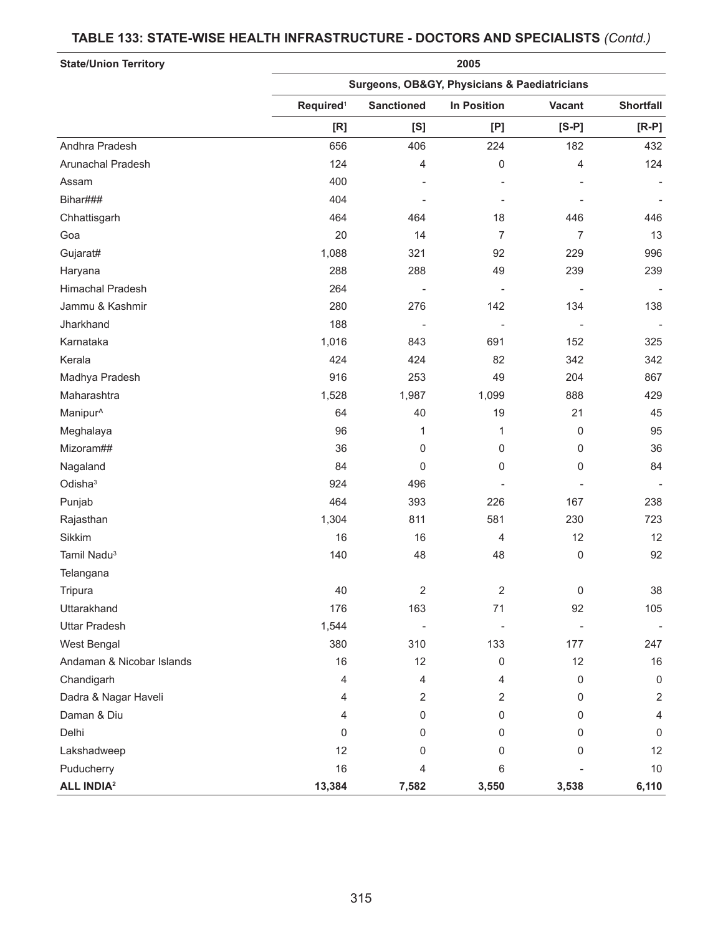# **State/Union Territory 2005 Surgeons, OB&GY, Physicians & Paediatricians Required**<sup>1</sup> **Sanctioned In Position Vacant Shortfall [R] [S] [P] [S-P] [R-P]** Andhra Pradesh 656 406 224 182 432 Arunachal Pradesh 124 4 0 4 124 Assam 400 - - - - Bihar### 404 - - - - Chhattisgarh 464 464 18 446 446 Goa 20 14 7 7 13 Gujarat# 1,088 321 92 229 996 Haryana 288 288 49 239 239 Himachal Pradesh 264 - - - - Jammu & Kashmir 280 276 142 134 138 Jharkhand 188 - - - - Karnataka 1,016 843 691 1,020 1,0325 843 691 152 Kerala 424 424 82 342 342 Madhya Pradesh 916 253 49 204 867 Maharashtra 1,528 1,987 1,099 888 429 04 19 21 - 19 21 19 31 19 31 19 31 19 31 19 31 19 31 19 31 19 31 19 31 19 31 19 Meghalaya 96 1 1 0 95 Mizoram## 36 0 0 0 36 Nagaland 84 0 0 0 84 Odisha3 924 496 - - - Punjab 464 393 226 167 238 Rajasthan 1,304 811 581 230 723 723 811 581 230 723 Sikkim 16 16 4 12 12 Tamil Nadu3 140 48 48 0 92 **Telangana** Tripura 40 2 2 0 38 Uttarakhand 176 163 71 92 105 Uttar Pradesh 1,544 - - - - West Bengal 380 310 133 177 247 Andaman & Nicobar Islands 16 16 12 16 12 16 12 16 Chandigarh 4 4 4 0 0 Dadra & Nagar Haveli 4 2 2 0 2 Daman & Diu 4 0 0 0 4 Delhi 0 0 0 0 0 Lakshadweep 12 0 0 0 12 Puducherry 16 4 6 - 10 **ALL INDIA2 13,384 7,582 3,550 3,538 6,110**

#### **TABLE 133: STATE-WISE HEALTH INFRASTRUCTURE - DOCTORS AND SPECIALISTS** *(Contd.)*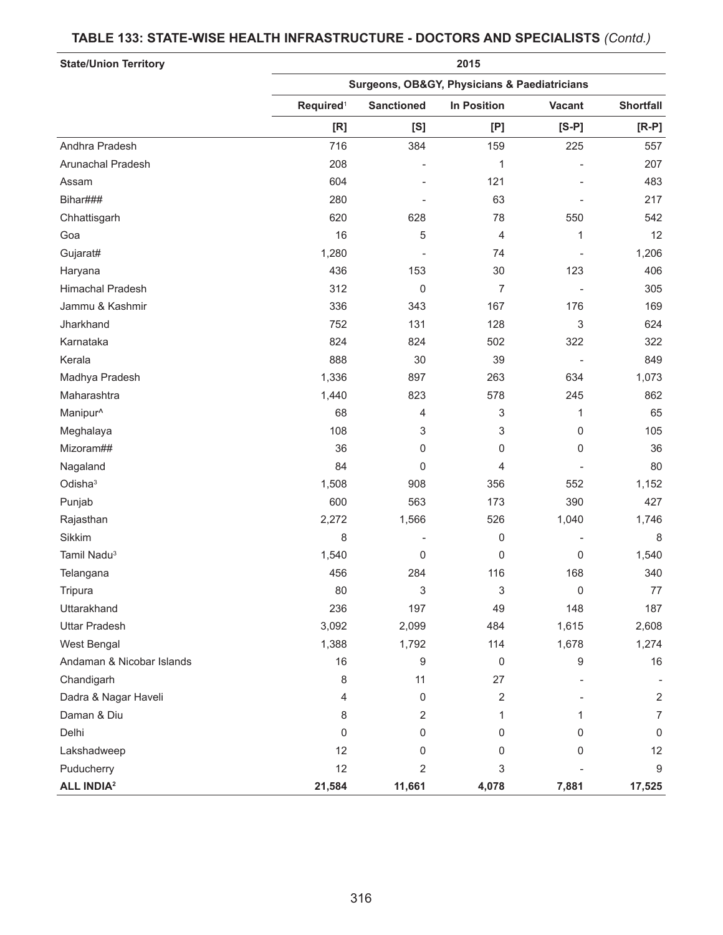# **State/Union Territory 2015 Surgeons, OB&GY, Physicians & Paediatricians Required**<sup>1</sup> **Sanctioned In Position Vacant Shortfall [R] [S] [P] [S-P] [R-P]** Andhra Pradesh 716 384 159 225 557 Arunachal Pradesh 208 - 1 - 207 Assam 604 - 121 - 483 Bihar### 280 - 63 - 217 Chhattisgarh 620 628 78 550 542 Goa 16 5 4 1 12 Gujarat# 1,280 - 74 - 1,206 Haryana 436 153 30 123 406 Himachal Pradesh 312 0 7 - 305 Jammu & Kashmir 336 343 167 176 169 Jharkhand 752 131 128 3 624 Karnataka 824 824 502 322 322 Kerala 888 30 39 - 849 Madhya Pradesh 1,073 **1,336 634** 634 1,073 Maharashtra 1,440 823 578 245 862 Manipur^ 68 4 3 1 65 Meghalaya 108 3 3 0 105 Mizoram## 36 0 0 0 36 Nagaland 84 0 4 - 80 Odisha3 1,508 908 356 552 1,152 Punjab 600 563 173 390 427 Rajasthan 2,272 1,566 526 1,040 1,746 Sikkim 8 - 0 - 8 Tamil Nadu3 1,540 0 0 0 1,540 Telangana 456 284 116 168 340 Tripura 80 3 3 0 77 Uttarakhand 236 197 49 148 187 Uttar Pradesh 3,092 2,099 484 1,615 2,608 West Bengal 1,388 1,792 114 1,678 1,274 Andaman & Nicobar Islands 16 16 16 9 0 9 9 16 Chandigarh 8 11 27 - - Dadra & Nagar Haveli 4 0 2 - 2 Daman & Diu 8 2 1 1 7 Delhi 0 0 0 0 0 Lakshadweep 12 0 0 0 12 Puducherry 12 2 3 - 9 **ALL INDIA2 21,584 11,661 4,078 7,881 17,525**

### **TABLE 133: STATE-WISE HEALTH INFRASTRUCTURE - DOCTORS AND SPECIALISTS** *(Contd.)*